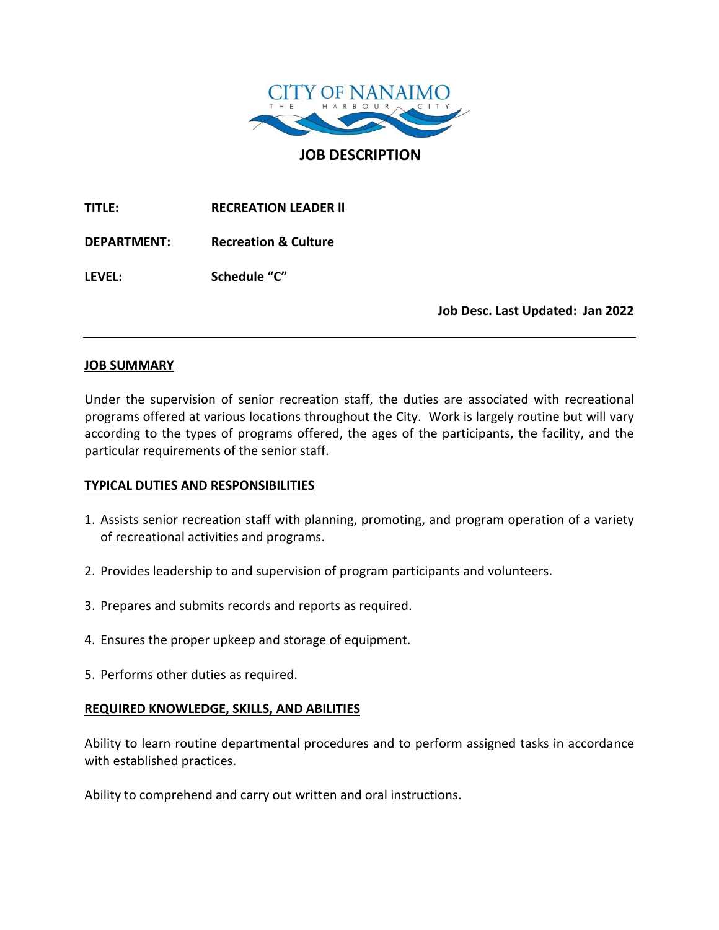

**JOB DESCRIPTION**

**TITLE: RECREATION LEADER ll**

**DEPARTMENT: Recreation & Culture**

**LEVEL: Schedule "C"**

**Job Desc. Last Updated: Jan 2022**

### **JOB SUMMARY**

Under the supervision of senior recreation staff, the duties are associated with recreational programs offered at various locations throughout the City. Work is largely routine but will vary according to the types of programs offered, the ages of the participants, the facility, and the particular requirements of the senior staff.

# **TYPICAL DUTIES AND RESPONSIBILITIES**

- 1. Assists senior recreation staff with planning, promoting, and program operation of a variety of recreational activities and programs.
- 2. Provides leadership to and supervision of program participants and volunteers.
- 3. Prepares and submits records and reports as required.
- 4. Ensures the proper upkeep and storage of equipment.
- 5. Performs other duties as required.

# **REQUIRED KNOWLEDGE, SKILLS, AND ABILITIES**

Ability to learn routine departmental procedures and to perform assigned tasks in accordance with established practices.

Ability to comprehend and carry out written and oral instructions.